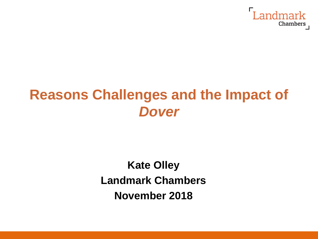

# **Reasons Challenges and the Impact of**  *Dover*

#### **Kate Olley Landmark Chambers November 2018**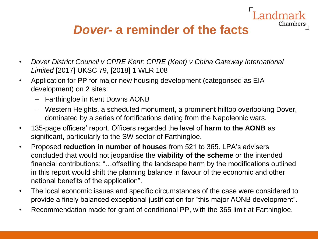#### *Dover***- a reminder of the facts**

andmark

- *Dover District Council v CPRE Kent; CPRE (Kent) v China Gateway International Limited* [2017] UKSC 79, [2018] 1 WLR 108
- Application for PP for major new housing development (categorised as EIA development) on 2 sites:
	- Farthingloe in Kent Downs AONB
	- Western Heights, a scheduled monument, a prominent hilltop overlooking Dover, dominated by a series of fortifications dating from the Napoleonic wars.
- 135-page officers' report. Officers regarded the level of **harm to the AONB** as significant, particularly to the SW sector of Farthingloe.
- Proposed **reduction in number of houses** from 521 to 365. LPA's advisers concluded that would not jeopardise the **viability of the scheme** or the intended financial contributions: "…offsetting the landscape harm by the modifications outlined in this report would shift the planning balance in favour of the economic and other national benefits of the application".
- The local economic issues and specific circumstances of the case were considered to provide a finely balanced exceptional justification for "this major AONB development".
- Recommendation made for grant of conditional PP, with the 365 limit at Farthingloe.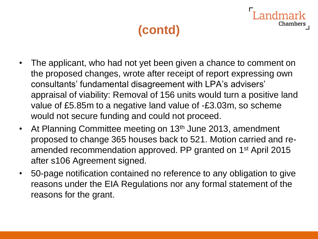Chamber:

- The applicant, who had not yet been given a chance to comment on the proposed changes, wrote after receipt of report expressing own consultants' fundamental disagreement with LPA's advisers' appraisal of viability: Removal of 156 units would turn a positive land value of £5.85m to a negative land value of -£3.03m, so scheme would not secure funding and could not proceed.
- At Planning Committee meeting on 13<sup>th</sup> June 2013, amendment proposed to change 365 houses back to 521. Motion carried and reamended recommendation approved. PP granted on 1<sup>st</sup> April 2015 after s106 Agreement signed.
- 50-page notification contained no reference to any obligation to give reasons under the EIA Regulations nor any formal statement of the reasons for the grant.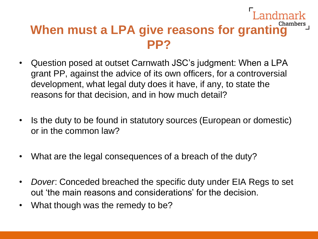#### Landmark When must a LPA give reasons for granting **Chambers PP?**

- Question posed at outset Carnwath JSC's judgment: When a LPA grant PP, against the advice of its own officers, for a controversial development, what legal duty does it have, if any, to state the reasons for that decision, and in how much detail?
- Is the duty to be found in statutory sources (European or domestic) or in the common law?
- What are the legal consequences of a breach of the duty?
- *Dover*: Conceded breached the specific duty under EIA Regs to set out 'the main reasons and considerations' for the decision.
- What though was the remedy to be?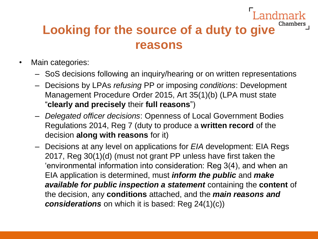## **Looking for the source of a duty to give reasons**

dmark

- Main categories:
	- SoS decisions following an inquiry/hearing or on written representations
	- Decisions by LPAs *refusing* PP or imposing *conditions*: Development Management Procedure Order 2015, Art 35(1)(b) (LPA must state "**clearly and precisely** their **full reasons**")
	- *Delegated officer decisions*: Openness of Local Government Bodies Regulations 2014, Reg 7 (duty to produce a **written record** of the decision **along with reasons** for it)
	- Decisions at any level on applications for *EIA* development: EIA Regs 2017, Reg 30(1)(d) (must not grant PP unless have first taken the 'environmental information into consideration: Reg 3(4), and when an EIA application is determined, must *inform the public* and *make available for public inspection a statement* containing the **content** of the decision, any **conditions** attached, and the *main reasons and considerations* on which it is based: Reg 24(1)(c))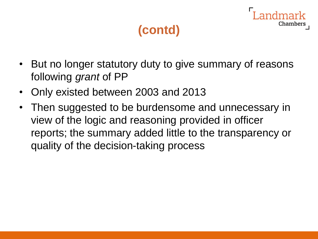- But no longer statutory duty to give summary of reasons following *grant* of PP
- Only existed between 2003 and 2013
- Then suggested to be burdensome and unnecessary in view of the logic and reasoning provided in officer reports; the summary added little to the transparency or quality of the decision-taking process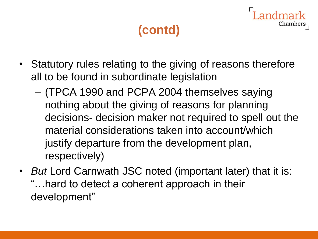- Statutory rules relating to the giving of reasons therefore all to be found in subordinate legislation
	- (TPCA 1990 and PCPA 2004 themselves saying nothing about the giving of reasons for planning decisions- decision maker not required to spell out the material considerations taken into account/which justify departure from the development plan, respectively)
- *But* Lord Carnwath JSC noted (important later) that it is: "…hard to detect a coherent approach in their development"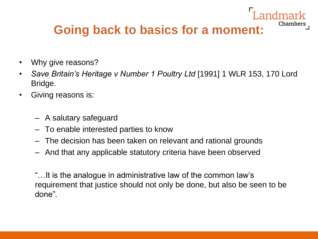# **Going back to basics for a moment:**

Chambers

- Why give reasons?
- *Save Britain's Heritage v Number 1 Poultry Ltd* [1991] 1 WLR 153, 170 Lord Bridge.
- Giving reasons is:
	- A salutary safeguard
	- To enable interested parties to know
	- The decision has been taken on relevant and rational grounds
	- And that any applicable statutory criteria have been observed

"…It is the analogue in administrative law of the common law's requirement that justice should not only be done, but also be seen to be done".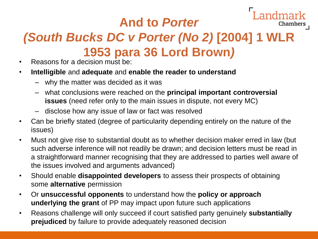### **And to** *Porter*

Chambers

## *(South Bucks DC v Porter (No 2)* **[2004] 1 WLR 1953 para 36 Lord Brown***)*

- Reasons for a decision must be:
- **Intelligible** and **adequate** and **enable the reader to understand**
	- why the matter was decided as it was
	- what conclusions were reached on the **principal important controversial issues** (need refer only to the main issues in dispute, not every MC)
	- disclose how any issue of law or fact was resolved
- Can be briefly stated (degree of particularity depending entirely on the nature of the issues)
- Must not give rise to substantial doubt as to whether decision maker erred in law (but such adverse inference will not readily be drawn; and decision letters must be read in a straightforward manner recognising that they are addressed to parties well aware of the issues involved and arguments advanced)
- Should enable **disappointed developers** to assess their prospects of obtaining some **alternative** permission
- Or **unsuccessful opponents** to understand how the **policy or approach underlying the grant** of PP may impact upon future such applications
- Reasons challenge will only succeed if court satisfied party genuinely **substantially prejudiced** by failure to provide adequately reasoned decision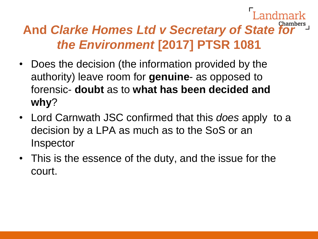## **And** *Clarke Homes Ltd v Secretary of State for the Environment* **[2017] PTSR 1081**

- Does the decision (the information provided by the authority) leave room for **genuine**- as opposed to forensic- **doubt** as to **what has been decided and why**?
- Lord Carnwath JSC confirmed that this *does* apply to a decision by a LPA as much as to the SoS or an **Inspector**
- This is the essence of the duty, and the issue for the court.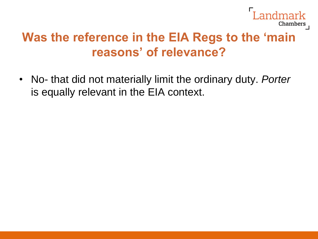

#### **Was the reference in the EIA Regs to the 'main reasons' of relevance?**

• No- that did not materially limit the ordinary duty. *Porter* is equally relevant in the EIA context.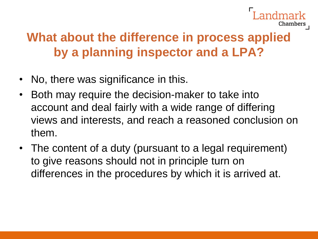

#### **What about the difference in process applied by a planning inspector and a LPA?**

- No, there was significance in this.
- Both may require the decision-maker to take into account and deal fairly with a wide range of differing views and interests, and reach a reasoned conclusion on them.
- The content of a duty (pursuant to a legal requirement) to give reasons should not in principle turn on differences in the procedures by which it is arrived at.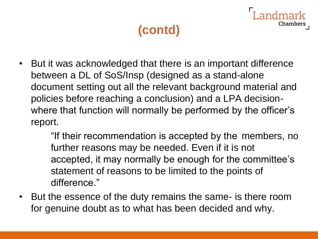Chamber

• But it was acknowledged that there is an important difference between a DL of SoS/Insp (designed as a stand-alone document setting out all the relevant background material and policies before reaching a conclusion) and a LPA decisionwhere that function will normally be performed by the officer's report.

> "If their recommendation is accepted by the members, no further reasons may be needed. Even if it is not accepted, it may normally be enough for the committee's statement of reasons to be limited to the points of difference."

• But the essence of the duty remains the same- is there room for genuine doubt as to what has been decided and why.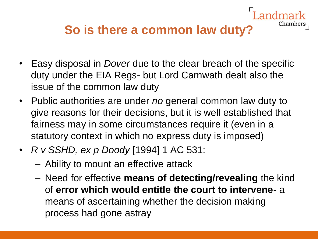#### **So is there a common law duty?**

- Easy disposal in *Dover* due to the clear breach of the specific duty under the EIA Regs- but Lord Carnwath dealt also the issue of the common law duty
- Public authorities are under *no* general common law duty to give reasons for their decisions, but it is well established that fairness may in some circumstances require it (even in a statutory context in which no express duty is imposed)
- *R v SSHD, ex p Doody* [1994] 1 AC 531:
	- Ability to mount an effective attack
	- Need for effective **means of detecting/revealing** the kind of **error which would entitle the court to intervene-** a means of ascertaining whether the decision making process had gone astray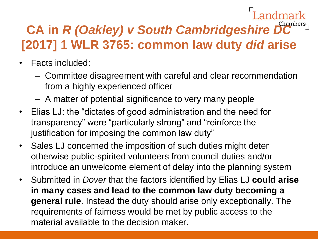# **CA in** *R (Oakley) v South Cambridgeshire DC*  **[2017] 1 WLR 3765: common law duty** *did* **arise**

- Facts included:
	- Committee disagreement with careful and clear recommendation from a highly experienced officer
	- A matter of potential significance to very many people
- Elias LJ: the "dictates of good administration and the need for transparency" were "particularly strong" and "reinforce the justification for imposing the common law duty"
- Sales LJ concerned the imposition of such duties might deter otherwise public-spirited volunteers from council duties and/or introduce an unwelcome element of delay into the planning system
- Submitted in *Dover* that the factors identified by Elias LJ **could arise in many cases and lead to the common law duty becoming a general rule**. Instead the duty should arise only exceptionally. The requirements of fairness would be met by public access to the material available to the decision maker.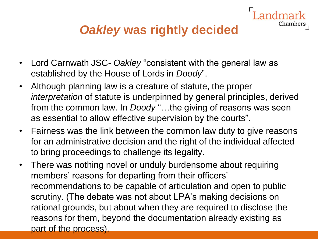#### *Oakley* **was rightly decided**

Chamber:

- Lord Carnwath JSC- *Oakley* "consistent with the general law as established by the House of Lords in *Doody*".
- Although planning law is a creature of statute, the proper *interpretation* of statute is underpinned by general principles, derived from the common law. In *Doody* "…the giving of reasons was seen as essential to allow effective supervision by the courts".
- Fairness was the link between the common law duty to give reasons for an administrative decision and the right of the individual affected to bring proceedings to challenge its legality.
- There was nothing novel or unduly burdensome about requiring members' reasons for departing from their officers' recommendations to be capable of articulation and open to public scrutiny. (The debate was not about LPA's making decisions on rational grounds, but about when they are required to disclose the reasons for them, beyond the documentation already existing as part of the process).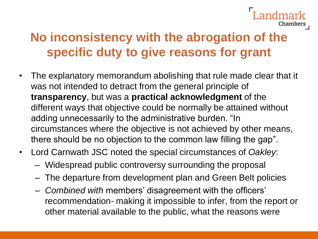# Chambers

#### **No inconsistency with the abrogation of the specific duty to give reasons for grant**

- The explanatory memorandum abolishing that rule made clear that it was not intended to detract from the general principle of **transparency**, but was a **practical acknowledgment** of the different ways that objective could be normally be attained without adding unnecessarily to the administrative burden. "In circumstances where the objective is not achieved by other means, there should be no objection to the common law filling the gap".
- Lord Carnwath JSC noted the special circumstances of *Oakley*:
	- Widespread public controversy surrounding the proposal
	- The departure from development plan and Green Belt policies
	- *Combined with* members' disagreement with the officers' recommendation- making it impossible to infer, from the report or other material available to the public, what the reasons were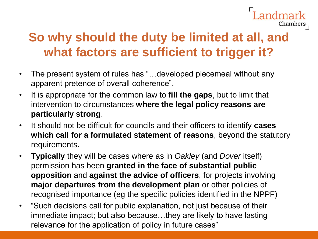#### **So why should the duty be limited at all, and what factors are sufficient to trigger it?**

andmark

- The present system of rules has "...developed piecemeal without any apparent pretence of overall coherence".
- It is appropriate for the common law to **fill the gaps**, but to limit that intervention to circumstances **where the legal policy reasons are particularly strong**.
- It should not be difficult for councils and their officers to identify **cases which call for a formulated statement of reasons**, beyond the statutory requirements.
- **Typically** they will be cases where as in *Oakley* (and *Dover* itself) permission has been **granted in the face of substantial public opposition** and **against the advice of officers**, for projects involving **major departures from the development plan** or other policies of recognised importance (eg the specific policies identified in the NPPF)
- "Such decisions call for public explanation, not just because of their immediate impact; but also because…they are likely to have lasting relevance for the application of policy in future cases"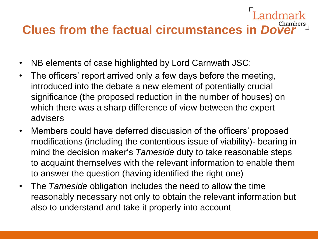# **Clues from the factual circumstances in Dove**

- NB elements of case highlighted by Lord Carnwath JSC:
- The officers' report arrived only a few days before the meeting, introduced into the debate a new element of potentially crucial significance (the proposed reduction in the number of houses) on which there was a sharp difference of view between the expert advisers
- Members could have deferred discussion of the officers' proposed modifications (including the contentious issue of viability)- bearing in mind the decision maker's *Tameside* duty to take reasonable steps to acquaint themselves with the relevant information to enable them to answer the question (having identified the right one)
- The *Tameside* obligation includes the need to allow the time reasonably necessary not only to obtain the relevant information but also to understand and take it properly into account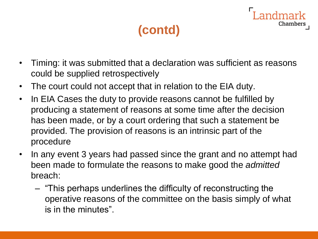- Timing: it was submitted that a declaration was sufficient as reasons could be supplied retrospectively
- The court could not accept that in relation to the EIA duty.
- In EIA Cases the duty to provide reasons cannot be fulfilled by producing a statement of reasons at some time after the decision has been made, or by a court ordering that such a statement be provided. The provision of reasons is an intrinsic part of the procedure
- In any event 3 years had passed since the grant and no attempt had been made to formulate the reasons to make good the *admitted* breach:
	- "This perhaps underlines the difficulty of reconstructing the operative reasons of the committee on the basis simply of what is in the minutes".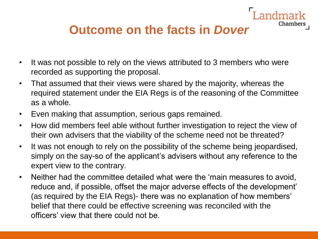#### **Outcome on the facts in** *Dover*

- It was not possible to rely on the views attributed to 3 members who were recorded as supporting the proposal.
- That assumed that their views were shared by the majority, whereas the required statement under the EIA Regs is of the reasoning of the Committee as a whole.
- Even making that assumption, serious gaps remained.
- How did members feel able without further investigation to reject the view of their own advisers that the viability of the scheme need not be threated?
- It was not enough to rely on the possibility of the scheme being jeopardised, simply on the say-so of the applicant's advisers without any reference to the expert view to the contrary.
- Neither had the committee detailed what were the 'main measures to avoid, reduce and, if possible, offset the major adverse effects of the development' (as required by the EIA Regs)- there was no explanation of how members' belief that there could be effective screening was reconciled with the officers' view that there could not be.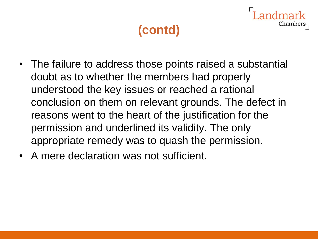- The failure to address those points raised a substantial doubt as to whether the members had properly understood the key issues or reached a rational conclusion on them on relevant grounds. The defect in reasons went to the heart of the justification for the permission and underlined its validity. The only appropriate remedy was to quash the permission.
- A mere declaration was not sufficient.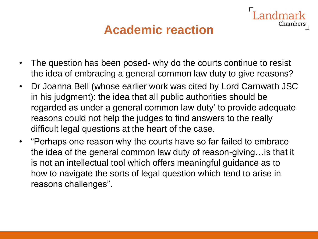#### **Academic reaction**

Chamber:

- The question has been posed- why do the courts continue to resist the idea of embracing a general common law duty to give reasons?
- Dr Joanna Bell (whose earlier work was cited by Lord Carnwath JSC in his judgment): the idea that all public authorities should be regarded as under a general common law duty' to provide adequate reasons could not help the judges to find answers to the really difficult legal questions at the heart of the case.
- "Perhaps one reason why the courts have so far failed to embrace the idea of the general common law duty of reason-giving…is that it is not an intellectual tool which offers meaningful guidance as to how to navigate the sorts of legal question which tend to arise in reasons challenges".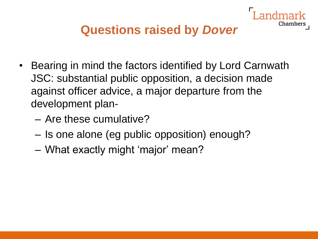

- Bearing in mind the factors identified by Lord Carnwath JSC: substantial public opposition, a decision made against officer advice, a major departure from the development plan-
	- Are these cumulative?
	- Is one alone (eg public opposition) enough?
	- What exactly might 'major' mean?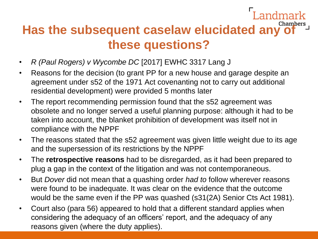# **Has the subsequent caselaw elucidated any of these questions?**

Landmark

- *R (Paul Rogers) v Wycombe DC* [2017] EWHC 3317 Lang J
- Reasons for the decision (to grant PP for a new house and garage despite an agreement under s52 of the 1971 Act covenanting not to carry out additional residential development) were provided 5 months later
- The report recommending permission found that the s52 agreement was obsolete and no longer served a useful planning purpose: although it had to be taken into account, the blanket prohibition of development was itself not in compliance with the NPPF
- The reasons stated that the s52 agreement was given little weight due to its age and the supersession of its restrictions by the NPPF
- The **retrospective reasons** had to be disregarded, as it had been prepared to plug a gap in the context of the litigation and was not contemporaneous.
- But *Dover* did not mean that a quashing order *had to* follow wherever reasons were found to be inadequate. It was clear on the evidence that the outcome would be the same even if the PP was quashed (s31(2A) Senior Cts Act 1981).
- Court also (para 56) appeared to hold that a different standard applies when considering the adequacy of an officers' report, and the adequacy of any reasons given (where the duty applies).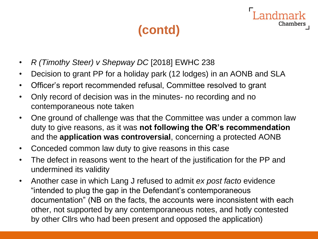ndmark

- *R (Timothy Steer) v Shepway DC* [2018] EWHC 238
- Decision to grant PP for a holiday park (12 lodges) in an AONB and SLA
- Officer's report recommended refusal, Committee resolved to grant
- Only record of decision was in the minutes- no recording and no contemporaneous note taken
- One ground of challenge was that the Committee was under a common law duty to give reasons, as it was **not following the OR's recommendation**  and the **application was controversial**, concerning a protected AONB
- Conceded common law duty to give reasons in this case
- The defect in reasons went to the heart of the justification for the PP and undermined its validity
- Another case in which Lang J refused to admit *ex post facto* evidence "intended to plug the gap in the Defendant's contemporaneous documentation" (NB on the facts, the accounts were inconsistent with each other, not supported by any contemporaneous notes, and hotly contested by other Cllrs who had been present and opposed the application)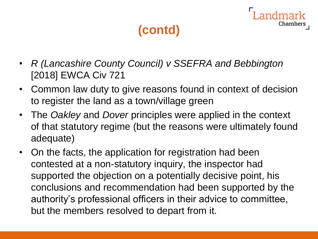- *R (Lancashire County Council) v SSEFRA and Bebbington*  [2018] EWCA Civ 721
- Common law duty to give reasons found in context of decision to register the land as a town/village green
- The *Oakley* and *Dover* principles were applied in the context of that statutory regime (but the reasons were ultimately found adequate)
- On the facts, the application for registration had been contested at a non-statutory inquiry, the inspector had supported the objection on a potentially decisive point, his conclusions and recommendation had been supported by the authority's professional officers in their advice to committee, but the members resolved to depart from it.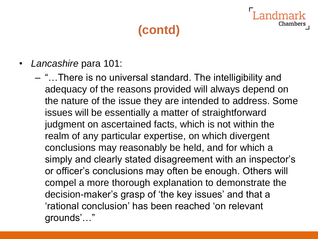- *Lancashire* para 101:
	- "…There is no universal standard. The intelligibility and adequacy of the reasons provided will always depend on the nature of the issue they are intended to address. Some issues will be essentially a matter of straightforward judgment on ascertained facts, which is not within the realm of any particular expertise, on which divergent conclusions may reasonably be held, and for which a simply and clearly stated disagreement with an inspector's or officer's conclusions may often be enough. Others will compel a more thorough explanation to demonstrate the decision-maker's grasp of 'the key issues' and that a 'rational conclusion' has been reached 'on relevant grounds'…"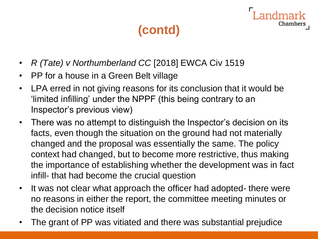Chamber:

- *R (Tate) v Northumberland CC* [2018] EWCA Civ 1519
- PP for a house in a Green Belt village
- LPA erred in not giving reasons for its conclusion that it would be 'limited infilling' under the NPPF (this being contrary to an Inspector's previous view)
- There was no attempt to distinguish the Inspector's decision on its facts, even though the situation on the ground had not materially changed and the proposal was essentially the same. The policy context had changed, but to become more restrictive, thus making the importance of establishing whether the development was in fact infill- that had become the crucial question
- It was not clear what approach the officer had adopted- there were no reasons in either the report, the committee meeting minutes or the decision notice itself
- The grant of PP was vitiated and there was substantial prejudice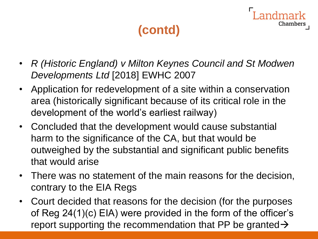- *R (Historic England) v Milton Keynes Council and St Modwen Developments Ltd* [2018] EWHC 2007
- Application for redevelopment of a site within a conservation area (historically significant because of its critical role in the development of the world's earliest railway)
- Concluded that the development would cause substantial harm to the significance of the CA, but that would be outweighed by the substantial and significant public benefits that would arise
- There was no statement of the main reasons for the decision, contrary to the EIA Regs
- Court decided that reasons for the decision (for the purposes of Reg 24(1)(c) EIA) were provided in the form of the officer's report supporting the recommendation that PP be granted  $\rightarrow$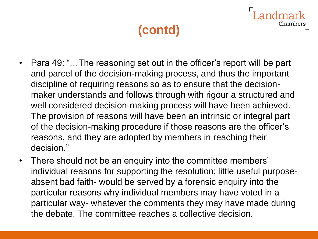- Para 49: "...The reasoning set out in the officer's report will be part and parcel of the decision-making process, and thus the important discipline of requiring reasons so as to ensure that the decisionmaker understands and follows through with rigour a structured and well considered decision-making process will have been achieved. The provision of reasons will have been an intrinsic or integral part of the decision-making procedure if those reasons are the officer's reasons, and they are adopted by members in reaching their decision."
- There should not be an enquiry into the committee members' individual reasons for supporting the resolution; little useful purposeabsent bad faith- would be served by a forensic enquiry into the particular reasons why individual members may have voted in a particular way- whatever the comments they may have made during the debate. The committee reaches a collective decision.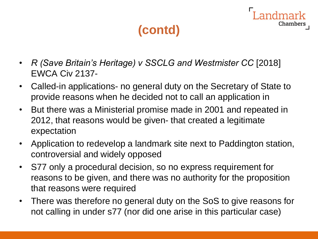- *R (Save Britain's Heritage) v SSCLG and Westmister CC* [2018] EWCA Civ 2137-
- Called-in applications- no general duty on the Secretary of State to provide reasons when he decided not to call an application in
- But there was a Ministerial promise made in 2001 and repeated in 2012, that reasons would be given- that created a legitimate expectation
- Application to redevelop a landmark site next to Paddington station, controversial and widely opposed
- S77 only a procedural decision, so no express requirement for reasons to be given, and there was no authority for the proposition that reasons were required
- There was therefore no general duty on the SoS to give reasons for not calling in under s77 (nor did one arise in this particular case)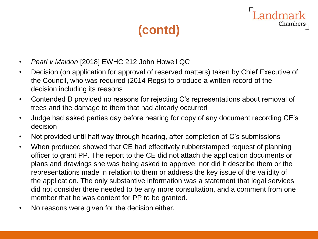andmark

- *Pearl v Maldon* [2018] EWHC 212 John Howell QC
- Decision (on application for approval of reserved matters) taken by Chief Executive of the Council, who was required (2014 Regs) to produce a written record of the decision including its reasons
- Contended D provided no reasons for rejecting C's representations about removal of trees and the damage to them that had already occurred
- Judge had asked parties day before hearing for copy of any document recording CE's decision
- Not provided until half way through hearing, after completion of C's submissions
- When produced showed that CE had effectively rubberstamped request of planning officer to grant PP. The report to the CE did not attach the application documents or plans and drawings she was being asked to approve, nor did it describe them or the representations made in relation to them or address the key issue of the validity of the application. The only substantive information was a statement that legal services did not consider there needed to be any more consultation, and a comment from one member that he was content for PP to be granted.
- No reasons were given for the decision either.